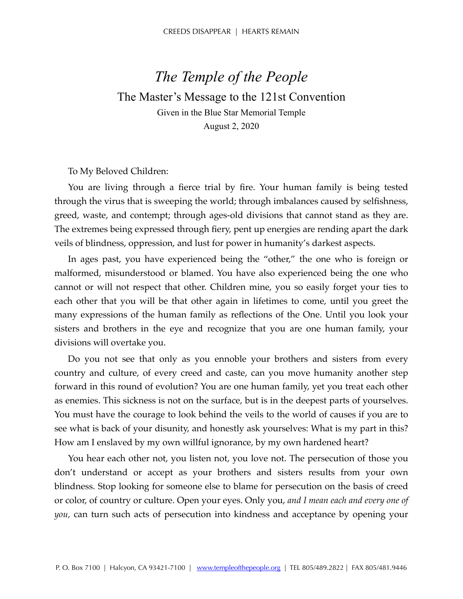## *The Temple of the People*  The Master's Message to the 121st Convention Given in the Blue Star Memorial Temple August 2, 2020

To My Beloved Children:

You are living through a fierce trial by fire. Your human family is being tested through the virus that is sweeping the world; through imbalances caused by selfishness, greed, waste, and contempt; through ages-old divisions that cannot stand as they are. The extremes being expressed through fiery, pent up energies are rending apart the dark veils of blindness, oppression, and lust for power in humanity's darkest aspects.

In ages past, you have experienced being the "other," the one who is foreign or malformed, misunderstood or blamed. You have also experienced being the one who cannot or will not respect that other. Children mine, you so easily forget your ties to each other that you will be that other again in lifetimes to come, until you greet the many expressions of the human family as reflections of the One. Until you look your sisters and brothers in the eye and recognize that you are one human family, your divisions will overtake you.

Do you not see that only as you ennoble your brothers and sisters from every country and culture, of every creed and caste, can you move humanity another step forward in this round of evolution? You are one human family, yet you treat each other as enemies. This sickness is not on the surface, but is in the deepest parts of yourselves. You must have the courage to look behind the veils to the world of causes if you are to see what is back of your disunity, and honestly ask yourselves: What is my part in this? How am I enslaved by my own willful ignorance, by my own hardened heart?

You hear each other not, you listen not, you love not. The persecution of those you don't understand or accept as your brothers and sisters results from your own blindness. Stop looking for someone else to blame for persecution on the basis of creed or color, of country or culture. Open your eyes. Only you, *and I mean each and every one of you,* can turn such acts of persecution into kindness and acceptance by opening your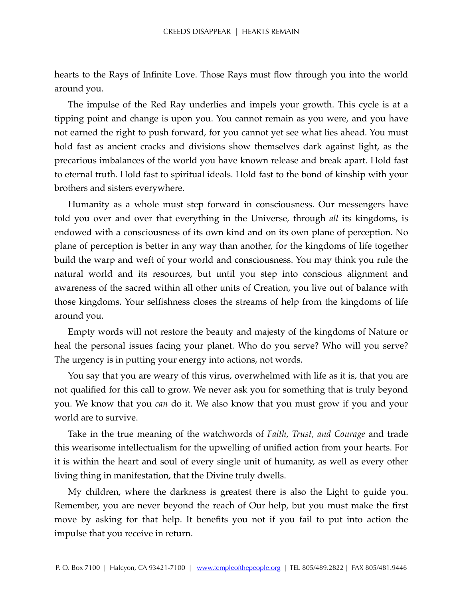hearts to the Rays of Infinite Love. Those Rays must flow through you into the world around you.

The impulse of the Red Ray underlies and impels your growth. This cycle is at a tipping point and change is upon you. You cannot remain as you were, and you have not earned the right to push forward, for you cannot yet see what lies ahead. You must hold fast as ancient cracks and divisions show themselves dark against light, as the precarious imbalances of the world you have known release and break apart. Hold fast to eternal truth. Hold fast to spiritual ideals. Hold fast to the bond of kinship with your brothers and sisters everywhere.

Humanity as a whole must step forward in consciousness. Our messengers have told you over and over that everything in the Universe, through *all* its kingdoms, is endowed with a consciousness of its own kind and on its own plane of perception. No plane of perception is better in any way than another, for the kingdoms of life together build the warp and weft of your world and consciousness. You may think you rule the natural world and its resources, but until you step into conscious alignment and awareness of the sacred within all other units of Creation, you live out of balance with those kingdoms. Your selfishness closes the streams of help from the kingdoms of life around you.

Empty words will not restore the beauty and majesty of the kingdoms of Nature or heal the personal issues facing your planet. Who do you serve? Who will you serve? The urgency is in putting your energy into actions, not words.

You say that you are weary of this virus, overwhelmed with life as it is, that you are not qualified for this call to grow. We never ask you for something that is truly beyond you. We know that you *can* do it. We also know that you must grow if you and your world are to survive.

Take in the true meaning of the watchwords of *Faith, Trust, and Courage* and trade this wearisome intellectualism for the upwelling of unified action from your hearts. For it is within the heart and soul of every single unit of humanity, as well as every other living thing in manifestation, that the Divine truly dwells.

My children, where the darkness is greatest there is also the Light to guide you. Remember, you are never beyond the reach of Our help, but you must make the first move by asking for that help. It benefits you not if you fail to put into action the impulse that you receive in return.